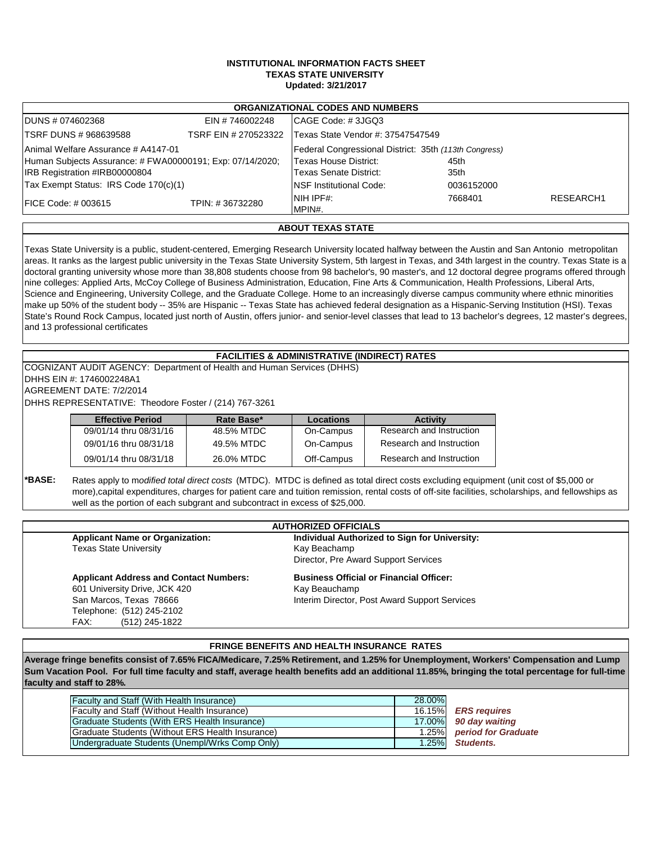## **INSTITUTIONAL INFORMATION FACTS SHEET TEXAS STATE UNIVERSITY Updated: 3/21/2017**

|                                                                                            |                      | <b>ORGANIZATIONAL CODES AND NUMBERS</b>               |              |           |
|--------------------------------------------------------------------------------------------|----------------------|-------------------------------------------------------|--------------|-----------|
| DUNS # 074602368                                                                           | EIN #746002248       | CAGE Code: #3JGQ3                                     |              |           |
| <b>TSRF DUNS # 968639588</b>                                                               | TSRF EIN # 270523322 | Texas State Vendor #: 37547547549                     |              |           |
| <b>Animal Welfare Assurance # A4147-01</b>                                                 |                      | Federal Congressional District: 35th (113th Congress) |              |           |
| Human Subjects Assurance: # FWA00000191; Exp: 07/14/2020;<br>IRB Registration #IRB00000804 |                      | Texas House District:<br>Texas Senate District:       | 45th<br>35th |           |
| Tax Exempt Status: IRS Code 170(c)(1)                                                      |                      | NSF Institutional Code:                               | 0036152000   |           |
| <b>FICE Code: # 003615</b>                                                                 | TPIN: #36732280      | NIH IPF#:<br>MPIN#.                                   | 7668401      | RESEARCH1 |

## **ABOUT TEXAS STATE**

Texas State University is a public, student-centered, Emerging Research University located halfway between the Austin and San Antonio metropolitan areas. It ranks as the largest public university in the Texas State University System, 5th largest in Texas, and 34th largest in the country. Texas State is a doctoral granting university whose more than 38,808 students choose from 98 bachelor's, 90 master's, and 12 doctoral degree programs offered through nine colleges: Applied Arts, McCoy College of Business Administration, Education, Fine Arts & Communication, Health Professions, Liberal Arts, Science and Engineering, University College, and the Graduate College. Home to an increasingly diverse campus community where ethnic minorities make up 50% of the student body -- 35% are Hispanic -- Texas State has achieved federal designation as a Hispanic-Serving Institution (HSI). Texas State's Round Rock Campus, located just north of Austin, offers junior- and senior-level classes that lead to 13 bachelor's degrees, 12 master's degrees, and 13 professional certificates

## **FACILITIES & ADMINISTRATIVE (INDIRECT) RATES**

COGNIZANT AUDIT AGENCY: Department of Health and Human Services (DHHS) DHHS EIN #: 1746002248A1

AGREEMENT DATE: 7/2/2014

DHHS REPRESENTATIVE: Theodore Foster / (214) 767-3261

| <b>Effective Period</b> | Rate Base* | <b>Locations</b> | <b>Activity</b>          |
|-------------------------|------------|------------------|--------------------------|
| 09/01/14 thru 08/31/16  | 48.5% MTDC | On-Campus        | Research and Instruction |
| 09/01/16 thru 08/31/18  | 49.5% MTDC | On-Campus        | Research and Instruction |
| 09/01/14 thru 08/31/18  | 26.0% MTDC | Off-Campus       | Research and Instruction |

**\*BASE:** Rates apply to m*odified total direct costs* (MTDC). MTDC is defined as total direct costs excluding equipment (unit cost of \$5,000 or more),capital expenditures, charges for patient care and tuition remission, rental costs of off-site facilities, scholarships, and fellowships as well as the portion of each subgrant and subcontract in excess of \$25,000.

| <b>AUTHORIZED OFFICIALS</b>                    |  |  |  |
|------------------------------------------------|--|--|--|
| Individual Authorized to Sign for University:  |  |  |  |
| Kay Beachamp                                   |  |  |  |
| Director, Pre Award Support Services           |  |  |  |
| <b>Business Official or Financial Officer:</b> |  |  |  |
| Kay Beauchamp                                  |  |  |  |
| Interim Director, Post Award Support Services  |  |  |  |
|                                                |  |  |  |
|                                                |  |  |  |
|                                                |  |  |  |

## **FRINGE BENEFITS AND HEALTH INSURANCE RATES**

**Average fringe benefits consist of 7.65% FICA/Medicare, 7.25% Retirement, and 1.25% for Unemployment, Workers' Compensation and Lump Sum Vacation Pool. For full time faculty and staff, average health benefits add an additional 11.85%, bringing the total percentage for full-time faculty and staff to 28%.**

| Faculty and Staff (With Health Insurance)        | 28.00% |                           |
|--------------------------------------------------|--------|---------------------------|
| Faculty and Staff (Without Health Insurance)     |        | 16.15% ERS requires       |
| Graduate Students (With ERS Health Insurance)    |        | 17.00% 90 day waiting     |
| Graduate Students (Without ERS Health Insurance) |        | 1.25% period for Graduate |
| Undergraduate Students (Unempl/Wrks Comp Only)   |        | 1.25% Students.           |